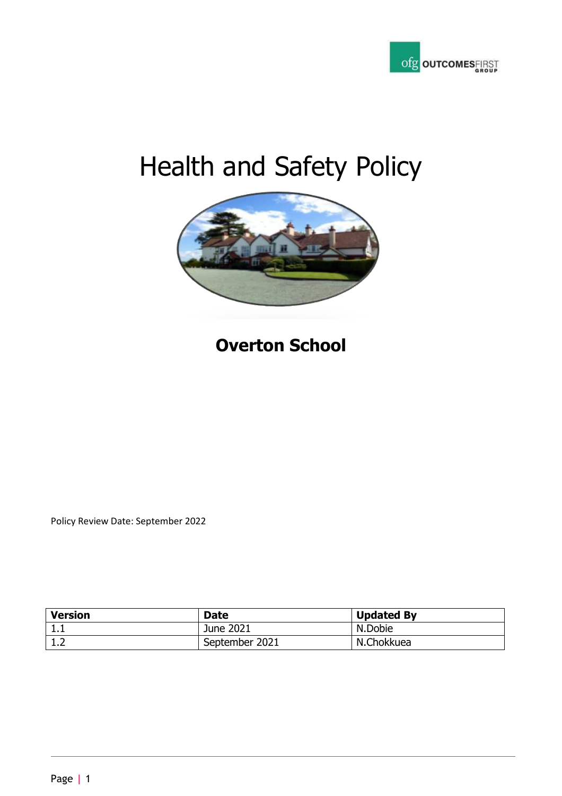

# Health and Safety Policy



# **Overton School**

Policy Review Date: September 2022

| <b>Version</b> | <b>Date</b>    | <b>Updated By</b> |
|----------------|----------------|-------------------|
| ᆠᆞᆠ            | June 2021      | N.Dobie           |
| ⊥.∠            | September 2021 | N.Chokkuea        |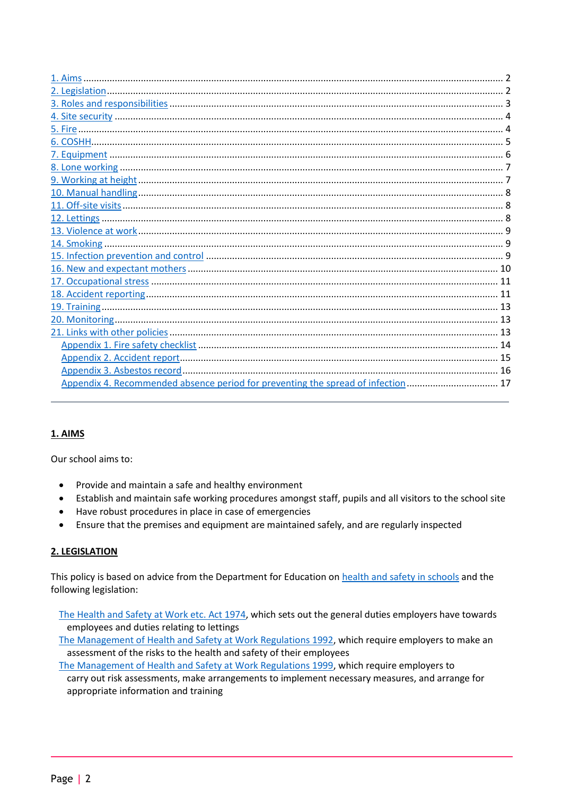| Appendix 4. Recommended absence period for preventing the spread of infection 17 |  |
|----------------------------------------------------------------------------------|--|
|                                                                                  |  |

# <span id="page-1-0"></span>1. AIMS

Our school aims to:

- Provide and maintain a safe and healthy environment  $\bullet$
- Establish and maintain safe working procedures amongst staff, pupils and all visitors to the school site  $\bullet$
- Have robust procedures in place in case of emergencies
- Ensure that the premises and equipment are maintained safely, and are regularly inspected  $\bullet$

# <span id="page-1-1"></span>2. LEGISLATION

This policy is based on advice from the Department for Education on health and safety in schools and the following legislation:

The Health and Safety at Work etc. Act 1974, which sets out the general duties employers have towards employees and duties relating to lettings

The Management of Health and Safety at Work Regulations 1992, which require employers to make an assessment of the risks to the health and safety of their employees

The Management of Health and Safety at Work Regulations 1999, which require employers to carry out risk assessments, make arrangements to implement necessary measures, and arrange for appropriate information and training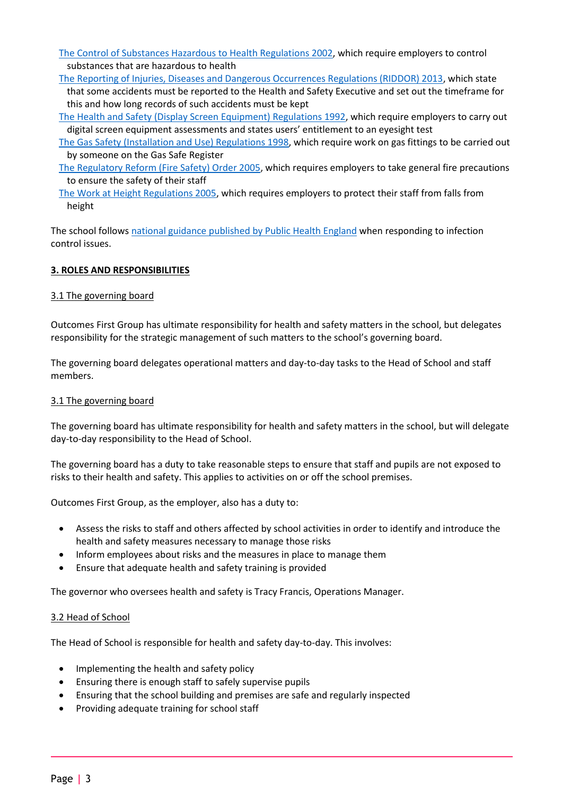[The Control of Substances Hazardous to Health Regulations 2002,](http://www.legislation.gov.uk/uksi/2002/2677/contents/made) which require employers to control substances that are hazardous to health

- [The Reporting of Injuries, Diseases and Dangerous Occurrences Regulations \(RIDDOR\) 2013,](http://www.legislation.gov.uk/uksi/2013/1471/schedule/1/paragraph/1/made) which state that some accidents must be reported to the Health and Safety Executive and set out the timeframe for this and how long records of such accidents must be kept
- [The Health and Safety \(Display Screen Equipment\) Regulations 1992,](http://www.legislation.gov.uk/uksi/1992/2792/contents/made) which require employers to carry out digital screen equipment assessments and states users' entitlement to an eyesight test
- [The Gas Safety \(Installation and Use\) Regulations 1998,](http://www.legislation.gov.uk/uksi/1998/2451/regulation/4/made) which require work on gas fittings to be carried out by someone on the Gas Safe Register
- [The Regulatory Reform \(Fire Safety\) Order 2005,](http://www.legislation.gov.uk/uksi/2005/1541/part/2/made) which requires employers to take general fire precautions to ensure the safety of their staff
- [The Work at Height Regulations 2005,](http://www.legislation.gov.uk/uksi/2005/735/contents/made) which requires employers to protect their staff from falls from height

The school follows [national guidance published by Public Health England](https://www.gov.uk/government/publications/health-protection-in-schools-and-other-childcare-facilities/chapter-9-managing-specific-infectious-diseases) when responding to infection control issues.

# <span id="page-2-0"></span>**3. ROLES AND RESPONSIBILITIES**

# 3.1 The governing board

Outcomes First Group has ultimate responsibility for health and safety matters in the school, but delegates responsibility for the strategic management of such matters to the school's governing board.

The governing board delegates operational matters and day-to-day tasks to the Head of School and staff members.

#### 3.1 The governing board

The governing board has ultimate responsibility for health and safety matters in the school, but will delegate day-to-day responsibility to the Head of School.

The governing board has a duty to take reasonable steps to ensure that staff and pupils are not exposed to risks to their health and safety. This applies to activities on or off the school premises.

Outcomes First Group, as the employer, also has a duty to:

- Assess the risks to staff and others affected by school activities in order to identify and introduce the health and safety measures necessary to manage those risks
- Inform employees about risks and the measures in place to manage them
- Ensure that adequate health and safety training is provided

The governor who oversees health and safety is Tracy Francis, Operations Manager.

#### 3.2 Head of School

The Head of School is responsible for health and safety day-to-day. This involves:

- Implementing the health and safety policy
- Ensuring there is enough staff to safely supervise pupils
- Ensuring that the school building and premises are safe and regularly inspected
- Providing adequate training for school staff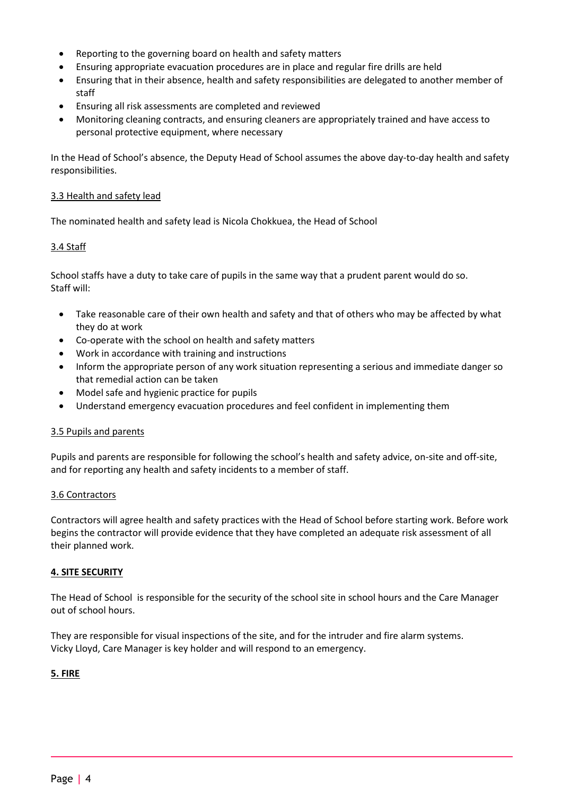- Reporting to the governing board on health and safety matters
- Ensuring appropriate evacuation procedures are in place and regular fire drills are held
- Ensuring that in their absence, health and safety responsibilities are delegated to another member of staff
- Ensuring all risk assessments are completed and reviewed
- Monitoring cleaning contracts, and ensuring cleaners are appropriately trained and have access to personal protective equipment, where necessary

In the Head of School's absence, the Deputy Head of School assumes the above day-to-day health and safety responsibilities.

# 3.3 Health and safety lead

The nominated health and safety lead is Nicola Chokkuea, the Head of School

# 3.4 Staff

School staffs have a duty to take care of pupils in the same way that a prudent parent would do so. Staff will:

- Take reasonable care of their own health and safety and that of others who may be affected by what they do at work
- Co-operate with the school on health and safety matters
- Work in accordance with training and instructions
- Inform the appropriate person of any work situation representing a serious and immediate danger so that remedial action can be taken
- Model safe and hygienic practice for pupils
- Understand emergency evacuation procedures and feel confident in implementing them

# 3.5 Pupils and parents

Pupils and parents are responsible for following the school's health and safety advice, on-site and off-site, and for reporting any health and safety incidents to a member of staff.

# 3.6 Contractors

Contractors will agree health and safety practices with the Head of School before starting work. Before work begins the contractor will provide evidence that they have completed an adequate risk assessment of all their planned work.

# <span id="page-3-0"></span>**4. SITE SECURITY**

The Head of School is responsible for the security of the school site in school hours and the Care Manager out of school hours.

They are responsible for visual inspections of the site, and for the intruder and fire alarm systems. Vicky Lloyd, Care Manager is key holder and will respond to an emergency.

# <span id="page-3-1"></span>**5. FIRE**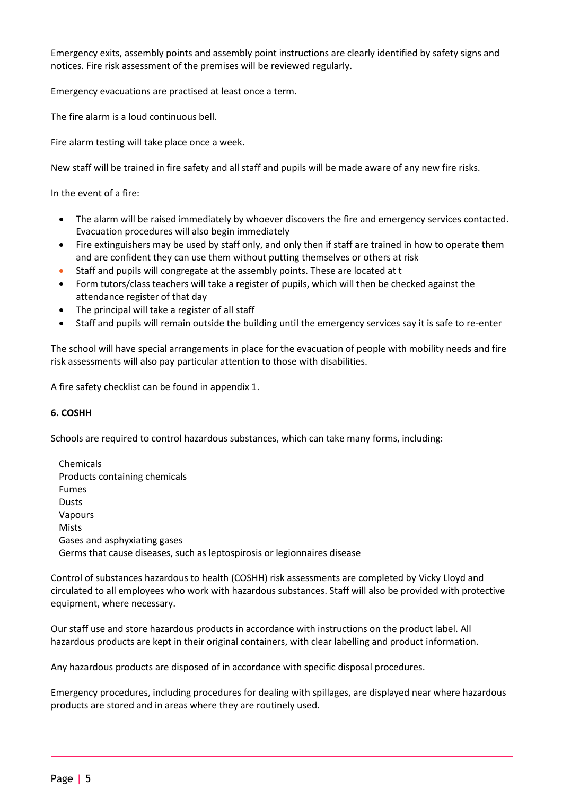Emergency exits, assembly points and assembly point instructions are clearly identified by safety signs and notices. Fire risk assessment of the premises will be reviewed regularly.

Emergency evacuations are practised at least once a term.

The fire alarm is a loud continuous bell.

Fire alarm testing will take place once a week.

New staff will be trained in fire safety and all staff and pupils will be made aware of any new fire risks.

In the event of a fire:

- The alarm will be raised immediately by whoever discovers the fire and emergency services contacted. Evacuation procedures will also begin immediately
- Fire extinguishers may be used by staff only, and only then if staff are trained in how to operate them and are confident they can use them without putting themselves or others at risk
- Staff and pupils will congregate at the assembly points. These are located at t
- Form tutors/class teachers will take a register of pupils, which will then be checked against the attendance register of that day
- The principal will take a register of all staff
- Staff and pupils will remain outside the building until the emergency services say it is safe to re-enter

The school will have special arrangements in place for the evacuation of people with mobility needs and fire risk assessments will also pay particular attention to those with disabilities.

<span id="page-4-0"></span>A fire safety checklist can be found in appendix 1.

#### **6. COSHH**

Schools are required to control hazardous substances, which can take many forms, including:

| Chemicals                                                                |
|--------------------------------------------------------------------------|
| Products containing chemicals                                            |
| <b>Fumes</b>                                                             |
| <b>Dusts</b>                                                             |
| Vapours                                                                  |
| Mists                                                                    |
| Gases and asphyxiating gases                                             |
| Germs that cause diseases, such as leptospirosis or legionnaires disease |

Control of substances hazardous to health (COSHH) risk assessments are completed by Vicky Lloyd and circulated to all employees who work with hazardous substances. Staff will also be provided with protective equipment, where necessary.

Our staff use and store hazardous products in accordance with instructions on the product label. All hazardous products are kept in their original containers, with clear labelling and product information.

Any hazardous products are disposed of in accordance with specific disposal procedures.

Emergency procedures, including procedures for dealing with spillages, are displayed near where hazardous products are stored and in areas where they are routinely used.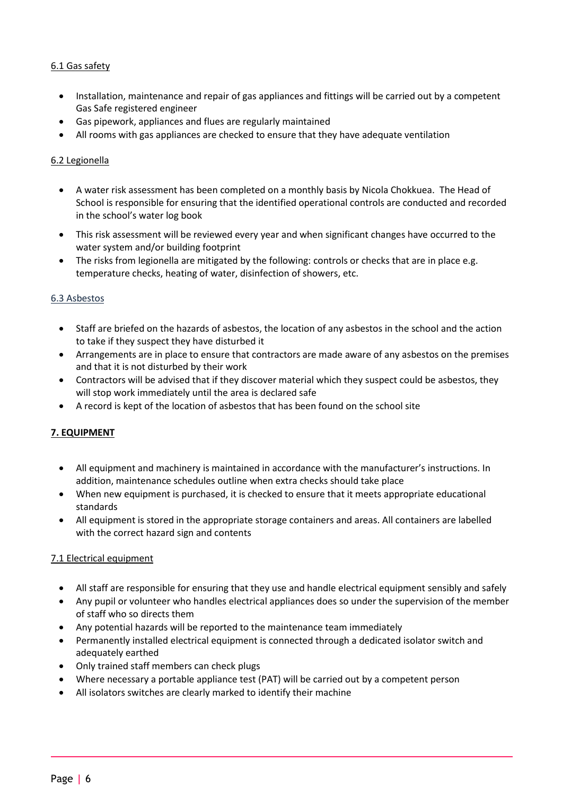# 6.1 Gas safety

- Installation, maintenance and repair of gas appliances and fittings will be carried out by a competent Gas Safe registered engineer
- Gas pipework, appliances and flues are regularly maintained
- All rooms with gas appliances are checked to ensure that they have adequate ventilation

# 6.2 Legionella

- A water risk assessment has been completed on a monthly basis by Nicola Chokkuea. The Head of School is responsible for ensuring that the identified operational controls are conducted and recorded in the school's water log book
- This risk assessment will be reviewed every year and when significant changes have occurred to the water system and/or building footprint
- The risks from legionella are mitigated by the following: controls or checks that are in place e.g. temperature checks, heating of water, disinfection of showers, etc.

# 6.3 Asbestos

- Staff are briefed on the hazards of asbestos, the location of any asbestos in the school and the action to take if they suspect they have disturbed it
- Arrangements are in place to ensure that contractors are made aware of any asbestos on the premises and that it is not disturbed by their work
- Contractors will be advised that if they discover material which they suspect could be asbestos, they will stop work immediately until the area is declared safe
- A record is kept of the location of asbestos that has been found on the school site

# <span id="page-5-0"></span>**7. EQUIPMENT**

- All equipment and machinery is maintained in accordance with the manufacturer's instructions. In addition, maintenance schedules outline when extra checks should take place
- When new equipment is purchased, it is checked to ensure that it meets appropriate educational standards
- All equipment is stored in the appropriate storage containers and areas. All containers are labelled with the correct hazard sign and contents

#### 7.1 Electrical equipment

- All staff are responsible for ensuring that they use and handle electrical equipment sensibly and safely
- Any pupil or volunteer who handles electrical appliances does so under the supervision of the member of staff who so directs them
- Any potential hazards will be reported to the maintenance team immediately
- Permanently installed electrical equipment is connected through a dedicated isolator switch and adequately earthed
- Only trained staff members can check plugs
- Where necessary a portable appliance test (PAT) will be carried out by a competent person
- All isolators switches are clearly marked to identify their machine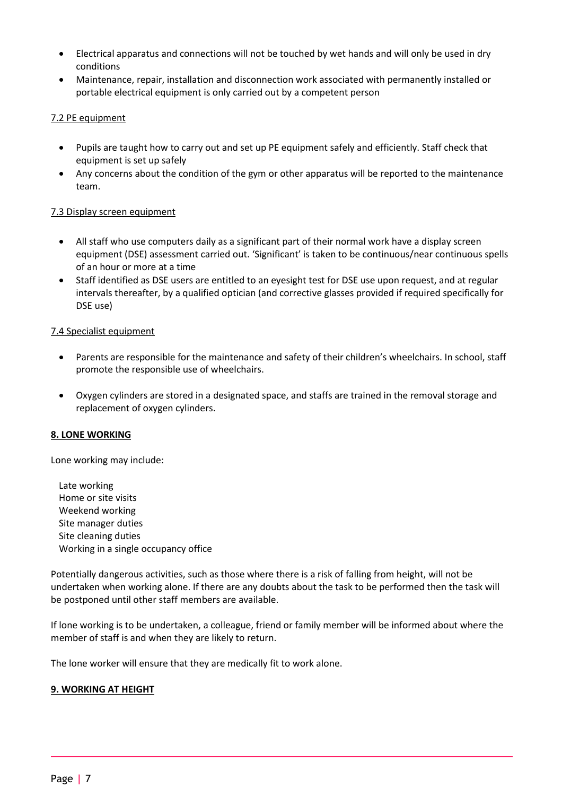- Electrical apparatus and connections will not be touched by wet hands and will only be used in dry conditions
- Maintenance, repair, installation and disconnection work associated with permanently installed or portable electrical equipment is only carried out by a competent person

# 7.2 PE equipment

- Pupils are taught how to carry out and set up PE equipment safely and efficiently. Staff check that equipment is set up safely
- Any concerns about the condition of the gym or other apparatus will be reported to the maintenance team.

# 7.3 Display screen equipment

- All staff who use computers daily as a significant part of their normal work have a display screen equipment (DSE) assessment carried out. 'Significant' is taken to be continuous/near continuous spells of an hour or more at a time
- Staff identified as DSE users are entitled to an eyesight test for DSE use upon request, and at regular intervals thereafter, by a qualified optician (and corrective glasses provided if required specifically for DSE use)

#### 7.4 Specialist equipment

- Parents are responsible for the maintenance and safety of their children's wheelchairs. In school, staff promote the responsible use of wheelchairs.
- Oxygen cylinders are stored in a designated space, and staffs are trained in the removal storage and replacement of oxygen cylinders.

#### <span id="page-6-0"></span>**8. LONE WORKING**

Lone working may include:

Late working Home or site visits Weekend working Site manager duties Site cleaning duties Working in a single occupancy office

Potentially dangerous activities, such as those where there is a risk of falling from height, will not be undertaken when working alone. If there are any doubts about the task to be performed then the task will be postponed until other staff members are available.

If lone working is to be undertaken, a colleague, friend or family member will be informed about where the member of staff is and when they are likely to return.

<span id="page-6-1"></span>The lone worker will ensure that they are medically fit to work alone.

#### **9. WORKING AT HEIGHT**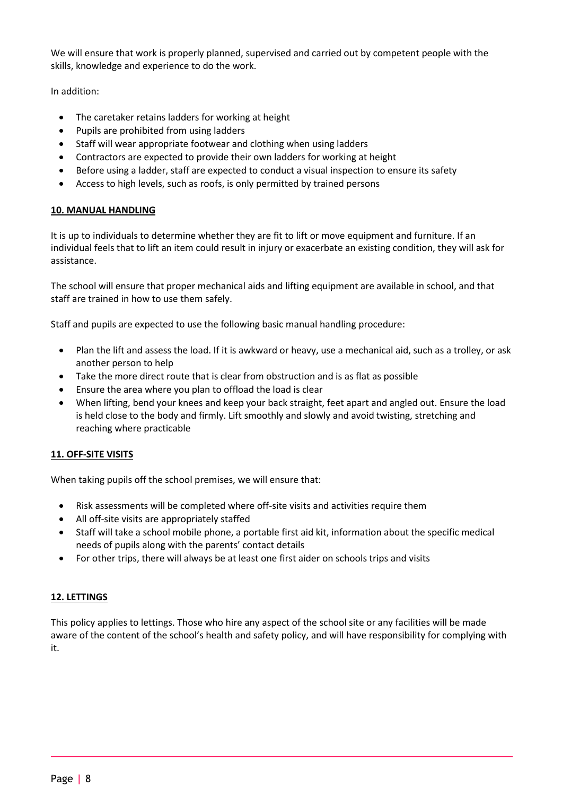We will ensure that work is properly planned, supervised and carried out by competent people with the skills, knowledge and experience to do the work.

In addition:

- The caretaker retains ladders for working at height
- Pupils are prohibited from using ladders
- Staff will wear appropriate footwear and clothing when using ladders
- Contractors are expected to provide their own ladders for working at height
- Before using a ladder, staff are expected to conduct a visual inspection to ensure its safety
- Access to high levels, such as roofs, is only permitted by trained persons

# <span id="page-7-0"></span>**10. MANUAL HANDLING**

It is up to individuals to determine whether they are fit to lift or move equipment and furniture. If an individual feels that to lift an item could result in injury or exacerbate an existing condition, they will ask for assistance.

The school will ensure that proper mechanical aids and lifting equipment are available in school, and that staff are trained in how to use them safely.

Staff and pupils are expected to use the following basic manual handling procedure:

- Plan the lift and assess the load. If it is awkward or heavy, use a mechanical aid, such as a trolley, or ask another person to help
- Take the more direct route that is clear from obstruction and is as flat as possible
- Ensure the area where you plan to offload the load is clear
- When lifting, bend your knees and keep your back straight, feet apart and angled out. Ensure the load is held close to the body and firmly. Lift smoothly and slowly and avoid twisting, stretching and reaching where practicable

# <span id="page-7-1"></span>**11. OFF-SITE VISITS**

When taking pupils off the school premises, we will ensure that:

- Risk assessments will be completed where off-site visits and activities require them
- All off-site visits are appropriately staffed
- Staff will take a school mobile phone, a portable first aid kit, information about the specific medical needs of pupils along with the parents' contact details
- <span id="page-7-2"></span>For other trips, there will always be at least one first aider on schools trips and visits

# **12. LETTINGS**

This policy applies to lettings. Those who hire any aspect of the school site or any facilities will be made aware of the content of the school's health and safety policy, and will have responsibility for complying with it.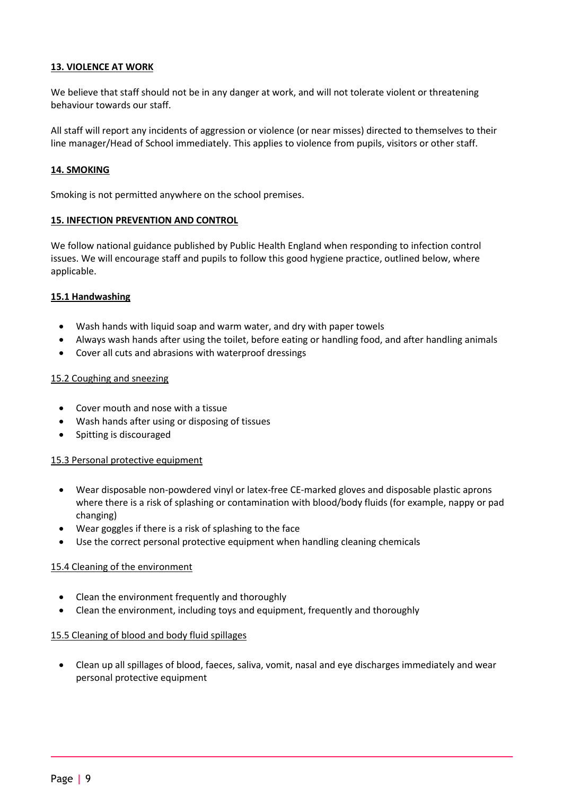# <span id="page-8-0"></span>**13. VIOLENCE AT WORK**

We believe that staff should not be in any danger at work, and will not tolerate violent or threatening behaviour towards our staff.

All staff will report any incidents of aggression or violence (or near misses) directed to themselves to their line manager/Head of School immediately. This applies to violence from pupils, visitors or other staff.

#### <span id="page-8-1"></span>**14. SMOKING**

Smoking is not permitted anywhere on the school premises.

#### <span id="page-8-2"></span>**15. INFECTION PREVENTION AND CONTROL**

We follow national guidance published by Public Health England when responding to infection control issues. We will encourage staff and pupils to follow this good hygiene practice, outlined below, where applicable.

#### **15.1 Handwashing**

- Wash hands with liquid soap and warm water, and dry with paper towels
- Always wash hands after using the toilet, before eating or handling food, and after handling animals
- Cover all cuts and abrasions with waterproof dressings

#### 15.2 Coughing and sneezing

- Cover mouth and nose with a tissue
- Wash hands after using or disposing of tissues
- Spitting is discouraged

#### 15.3 Personal protective equipment

- Wear disposable non-powdered vinyl or latex-free CE-marked gloves and disposable plastic aprons where there is a risk of splashing or contamination with blood/body fluids (for example, nappy or pad changing)
- Wear goggles if there is a risk of splashing to the face
- Use the correct personal protective equipment when handling cleaning chemicals

#### 15.4 Cleaning of the environment

- Clean the environment frequently and thoroughly
- Clean the environment, including toys and equipment, frequently and thoroughly

#### 15.5 Cleaning of blood and body fluid spillages

 Clean up all spillages of blood, faeces, saliva, vomit, nasal and eye discharges immediately and wear personal protective equipment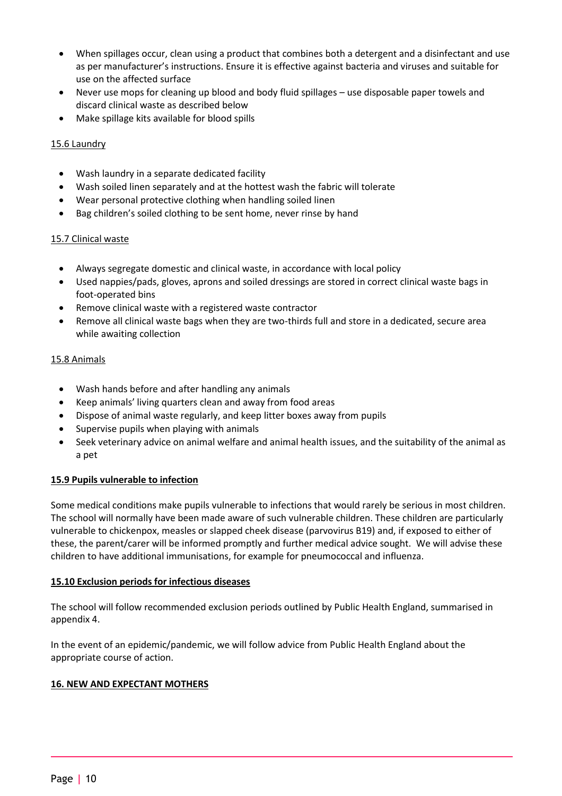- When spillages occur, clean using a product that combines both a detergent and a disinfectant and use as per manufacturer's instructions. Ensure it is effective against bacteria and viruses and suitable for use on the affected surface
- Never use mops for cleaning up blood and body fluid spillages use disposable paper towels and discard clinical waste as described below
- Make spillage kits available for blood spills

# 15.6 Laundry

- Wash laundry in a separate dedicated facility
- Wash soiled linen separately and at the hottest wash the fabric will tolerate
- Wear personal protective clothing when handling soiled linen
- Bag children's soiled clothing to be sent home, never rinse by hand

# 15.7 Clinical waste

- Always segregate domestic and clinical waste, in accordance with local policy
- Used nappies/pads, gloves, aprons and soiled dressings are stored in correct clinical waste bags in foot-operated bins
- Remove clinical waste with a registered waste contractor
- Remove all clinical waste bags when they are two-thirds full and store in a dedicated, secure area while awaiting collection

# 15.8 Animals

- Wash hands before and after handling any animals
- Keep animals' living quarters clean and away from food areas
- Dispose of animal waste regularly, and keep litter boxes away from pupils
- Supervise pupils when playing with animals
- Seek veterinary advice on animal welfare and animal health issues, and the suitability of the animal as a pet

# **15.9 Pupils vulnerable to infection**

Some medical conditions make pupils vulnerable to infections that would rarely be serious in most children. The school will normally have been made aware of such vulnerable children. These children are particularly vulnerable to chickenpox, measles or slapped cheek disease (parvovirus B19) and, if exposed to either of these, the parent/carer will be informed promptly and further medical advice sought. We will advise these children to have additional immunisations, for example for pneumococcal and influenza.

# **15.10 Exclusion periods for infectious diseases**

The school will follow recommended exclusion periods outlined by Public Health England, summarised in appendix 4.

In the event of an epidemic/pandemic, we will follow advice from Public Health England about the appropriate course of action.

# <span id="page-9-0"></span>**16. NEW AND EXPECTANT MOTHERS**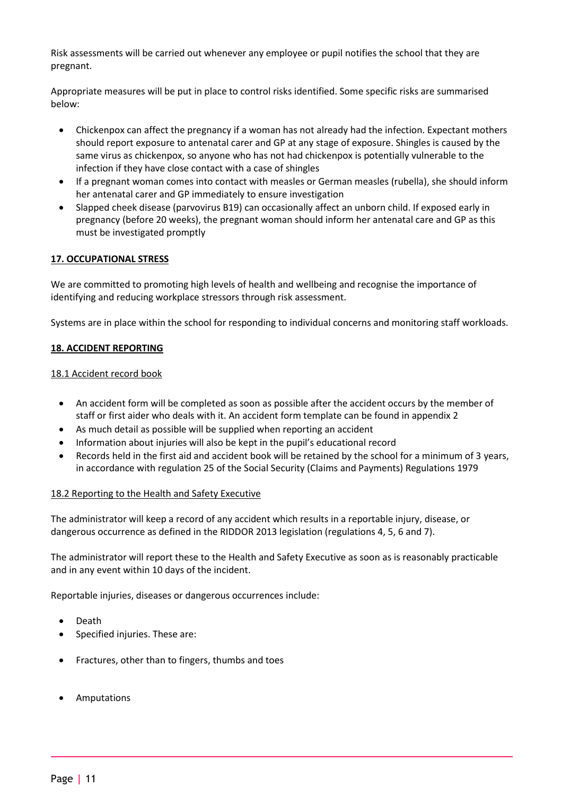Risk assessments will be carried out whenever any employee or pupil notifies the school that they are pregnant.

Appropriate measures will be put in place to control risks identified. Some specific risks are summarised below:

- Chickenpox can affect the pregnancy if a woman has not already had the infection. Expectant mothers should report exposure to antenatal carer and GP at any stage of exposure. Shingles is caused by the same virus as chickenpox, so anyone who has not had chickenpox is potentially vulnerable to the infection if they have close contact with a case of shingles
- If a pregnant woman comes into contact with measles or German measles (rubella), she should inform her antenatal carer and GP immediately to ensure investigation
- Slapped cheek disease (parvovirus B19) can occasionally affect an unborn child. If exposed early in pregnancy (before 20 weeks), the pregnant woman should inform her antenatal care and GP as this must be investigated promptly

# <span id="page-10-0"></span>**17. OCCUPATIONAL STRESS**

We are committed to promoting high levels of health and wellbeing and recognise the importance of identifying and reducing workplace stressors through risk assessment.

Systems are in place within the school for responding to individual concerns and monitoring staff workloads.

# <span id="page-10-1"></span>**18. ACCIDENT REPORTING**

#### 18.1 Accident record book

- An accident form will be completed as soon as possible after the accident occurs by the member of staff or first aider who deals with it. An accident form template can be found in appendix 2
- As much detail as possible will be supplied when reporting an accident
- Information about injuries will also be kept in the pupil's educational record
- Records held in the first aid and accident book will be retained by the school for a minimum of 3 years, in accordance with regulation 25 of the Social Security (Claims and Payments) Regulations 1979

#### 18.2 Reporting to the Health and Safety Executive

The administrator will keep a record of any accident which results in a reportable injury, disease, or dangerous occurrence as defined in the RIDDOR 2013 legislation (regulations 4, 5, 6 and 7).

The administrator will report these to the Health and Safety Executive as soon as is reasonably practicable and in any event within 10 days of the incident.

Reportable injuries, diseases or dangerous occurrences include:

- Death
- Specified injuries. These are:
- Fractures, other than to fingers, thumbs and toes
- Amputations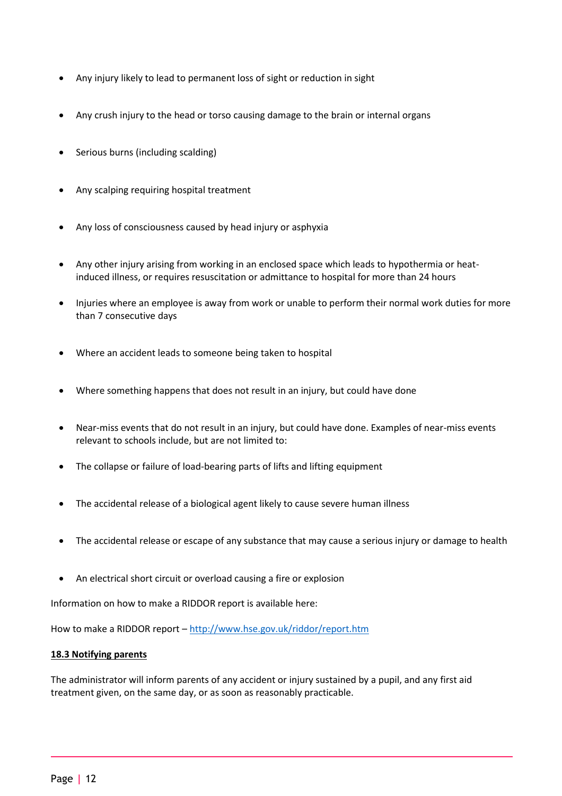- Any injury likely to lead to permanent loss of sight or reduction in sight
- Any crush injury to the head or torso causing damage to the brain or internal organs
- Serious burns (including scalding)
- Any scalping requiring hospital treatment
- Any loss of consciousness caused by head injury or asphyxia
- Any other injury arising from working in an enclosed space which leads to hypothermia or heatinduced illness, or requires resuscitation or admittance to hospital for more than 24 hours
- Injuries where an employee is away from work or unable to perform their normal work duties for more than 7 consecutive days
- Where an accident leads to someone being taken to hospital
- Where something happens that does not result in an injury, but could have done
- Near-miss events that do not result in an injury, but could have done. Examples of near-miss events relevant to schools include, but are not limited to:
- The collapse or failure of load-bearing parts of lifts and lifting equipment
- The accidental release of a biological agent likely to cause severe human illness
- The accidental release or escape of any substance that may cause a serious injury or damage to health
- An electrical short circuit or overload causing a fire or explosion

Information on how to make a RIDDOR report is available here:

How to make a RIDDOR report – <http://www.hse.gov.uk/riddor/report.htm>

#### **18.3 Notifying parents**

The administrator will inform parents of any accident or injury sustained by a pupil, and any first aid treatment given, on the same day, or as soon as reasonably practicable.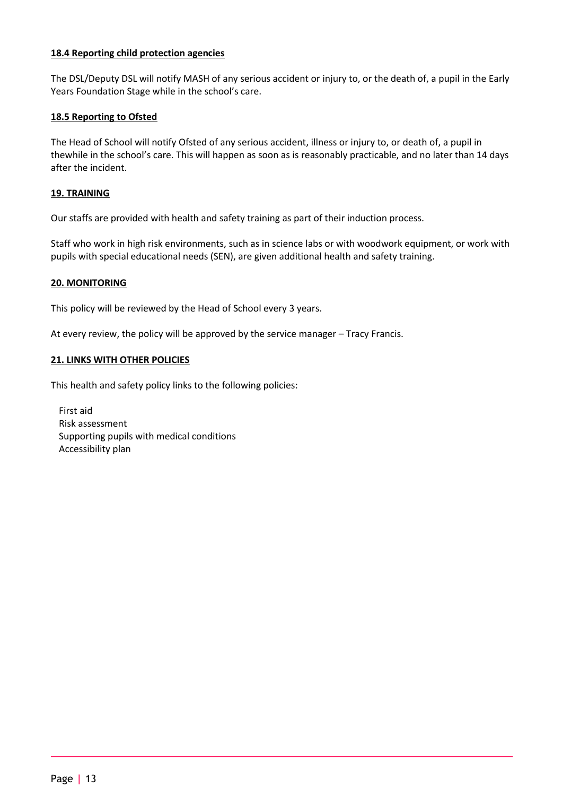# **18.4 Reporting child protection agencies**

The DSL/Deputy DSL will notify MASH of any serious accident or injury to, or the death of, a pupil in the Early Years Foundation Stage while in the school's care.

# **18.5 Reporting to Ofsted**

The Head of School will notify Ofsted of any serious accident, illness or injury to, or death of, a pupil in thewhile in the school's care. This will happen as soon as is reasonably practicable, and no later than 14 days after the incident.

# <span id="page-12-0"></span>**19. TRAINING**

Our staffs are provided with health and safety training as part of their induction process.

Staff who work in high risk environments, such as in science labs or with woodwork equipment, or work with pupils with special educational needs (SEN), are given additional health and safety training.

#### <span id="page-12-1"></span>**20. MONITORING**

This policy will be reviewed by the Head of School every 3 years.

<span id="page-12-2"></span>At every review, the policy will be approved by the service manager – Tracy Francis.

# **21. LINKS WITH OTHER POLICIES**

This health and safety policy links to the following policies:

First aid Risk assessment Supporting pupils with medical conditions Accessibility plan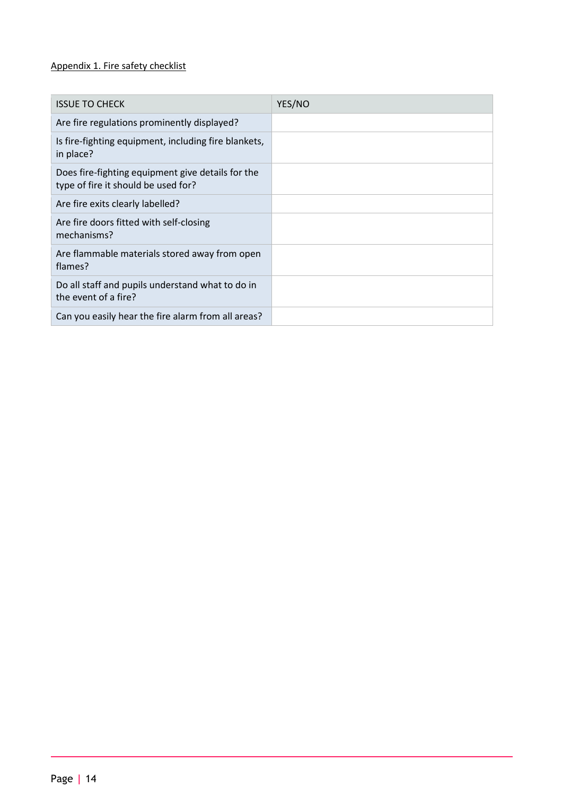# <span id="page-13-0"></span>Appendix 1. Fire safety checklist

| <b>ISSUE TO CHECK</b>                                                                    | YES/NO |
|------------------------------------------------------------------------------------------|--------|
| Are fire regulations prominently displayed?                                              |        |
| Is fire-fighting equipment, including fire blankets,<br>in place?                        |        |
| Does fire-fighting equipment give details for the<br>type of fire it should be used for? |        |
| Are fire exits clearly labelled?                                                         |        |
| Are fire doors fitted with self-closing<br>mechanisms?                                   |        |
| Are flammable materials stored away from open<br>flames?                                 |        |
| Do all staff and pupils understand what to do in<br>the event of a fire?                 |        |
| Can you easily hear the fire alarm from all areas?                                       |        |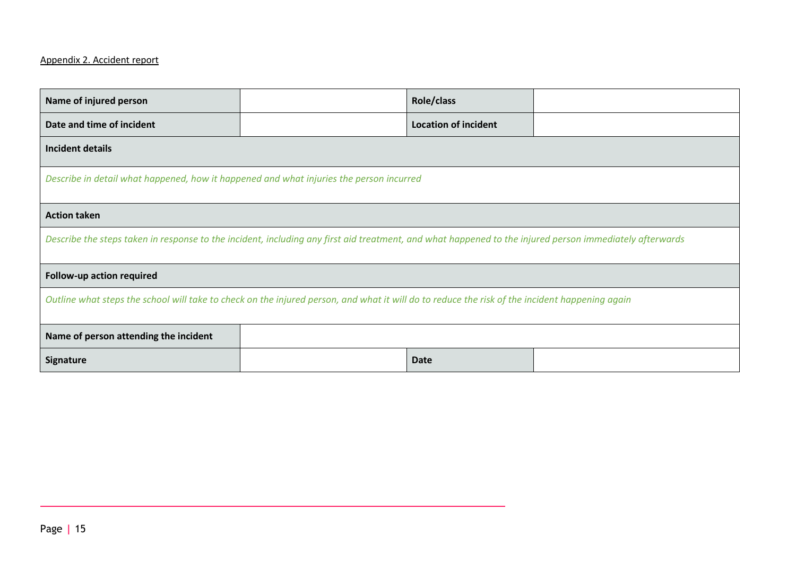# Appendix 2. Accident report

<span id="page-14-0"></span>

| Name of injured person                                                                                                                                  |  | Role/class                  |  |  |
|---------------------------------------------------------------------------------------------------------------------------------------------------------|--|-----------------------------|--|--|
| Date and time of incident                                                                                                                               |  | <b>Location of incident</b> |  |  |
| Incident details                                                                                                                                        |  |                             |  |  |
| Describe in detail what happened, how it happened and what injuries the person incurred                                                                 |  |                             |  |  |
| <b>Action taken</b>                                                                                                                                     |  |                             |  |  |
| Describe the steps taken in response to the incident, including any first aid treatment, and what happened to the injured person immediately afterwards |  |                             |  |  |
| Follow-up action required                                                                                                                               |  |                             |  |  |
| Outline what steps the school will take to check on the injured person, and what it will do to reduce the risk of the incident happening again          |  |                             |  |  |
| Name of person attending the incident                                                                                                                   |  |                             |  |  |
| Signature                                                                                                                                               |  | <b>Date</b>                 |  |  |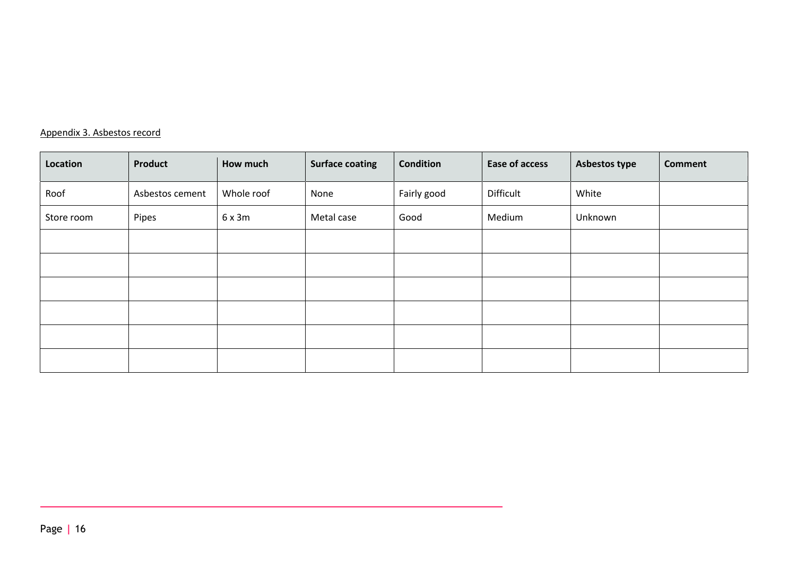# Appendix 3. Asbestos record

<span id="page-15-0"></span>

| Location   | Product         | How much   | <b>Surface coating</b> | Condition   | Ease of access | Asbestos type | <b>Comment</b> |
|------------|-----------------|------------|------------------------|-------------|----------------|---------------|----------------|
| Roof       | Asbestos cement | Whole roof | None                   | Fairly good | Difficult      | White         |                |
| Store room | Pipes           | 6x3m       | Metal case             | Good        | Medium         | Unknown       |                |
|            |                 |            |                        |             |                |               |                |
|            |                 |            |                        |             |                |               |                |
|            |                 |            |                        |             |                |               |                |
|            |                 |            |                        |             |                |               |                |
|            |                 |            |                        |             |                |               |                |
|            |                 |            |                        |             |                |               |                |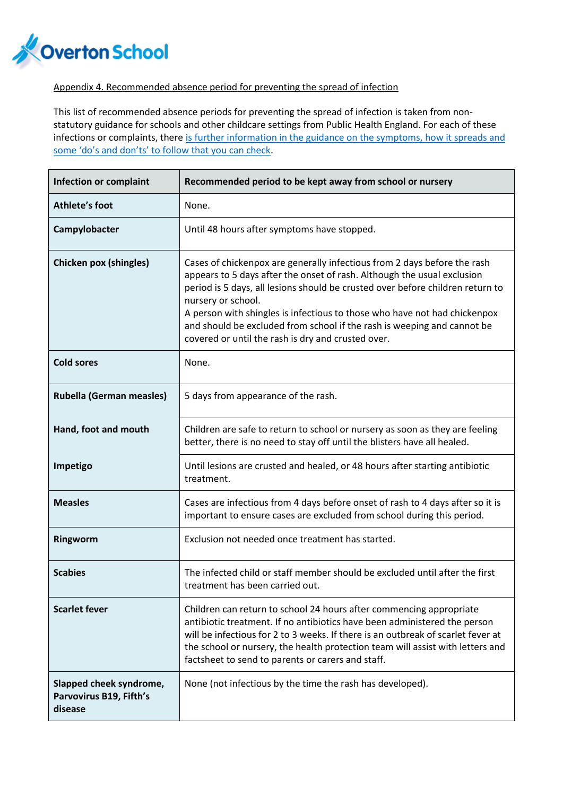

# <span id="page-16-0"></span>Appendix 4. Recommended absence period for preventing the spread of infection

This list of recommended absence periods for preventing the spread of infection is taken from nonstatutory guidance for schools and other childcare settings from Public Health England. For each of these infections or complaints, there is further information in the guidance on the symptoms, how it spreads and [some 'do's and don'ts' to follow that you can check](https://www.gov.uk/government/publications/health-protection-in-schools-and-other-childcare-facilities/chapter-9-managing-specific-infectious-diseases).

| <b>Infection or complaint</b>                                 | Recommended period to be kept away from school or nursery                                                                                                                                                                                                                                                                                                                                                                                                                 |
|---------------------------------------------------------------|---------------------------------------------------------------------------------------------------------------------------------------------------------------------------------------------------------------------------------------------------------------------------------------------------------------------------------------------------------------------------------------------------------------------------------------------------------------------------|
| <b>Athlete's foot</b>                                         | None.                                                                                                                                                                                                                                                                                                                                                                                                                                                                     |
| Campylobacter                                                 | Until 48 hours after symptoms have stopped.                                                                                                                                                                                                                                                                                                                                                                                                                               |
| <b>Chicken pox (shingles)</b>                                 | Cases of chickenpox are generally infectious from 2 days before the rash<br>appears to 5 days after the onset of rash. Although the usual exclusion<br>period is 5 days, all lesions should be crusted over before children return to<br>nursery or school.<br>A person with shingles is infectious to those who have not had chickenpox<br>and should be excluded from school if the rash is weeping and cannot be<br>covered or until the rash is dry and crusted over. |
| <b>Cold sores</b>                                             | None.                                                                                                                                                                                                                                                                                                                                                                                                                                                                     |
| <b>Rubella (German measles)</b>                               | 5 days from appearance of the rash.                                                                                                                                                                                                                                                                                                                                                                                                                                       |
| Hand, foot and mouth                                          | Children are safe to return to school or nursery as soon as they are feeling<br>better, there is no need to stay off until the blisters have all healed.                                                                                                                                                                                                                                                                                                                  |
| Impetigo                                                      | Until lesions are crusted and healed, or 48 hours after starting antibiotic<br>treatment.                                                                                                                                                                                                                                                                                                                                                                                 |
| <b>Measles</b>                                                | Cases are infectious from 4 days before onset of rash to 4 days after so it is<br>important to ensure cases are excluded from school during this period.                                                                                                                                                                                                                                                                                                                  |
| Ringworm                                                      | Exclusion not needed once treatment has started.                                                                                                                                                                                                                                                                                                                                                                                                                          |
| <b>Scabies</b>                                                | The infected child or staff member should be excluded until after the first<br>treatment has been carried out.                                                                                                                                                                                                                                                                                                                                                            |
| <b>Scarlet fever</b>                                          | Children can return to school 24 hours after commencing appropriate<br>antibiotic treatment. If no antibiotics have been administered the person<br>will be infectious for 2 to 3 weeks. If there is an outbreak of scarlet fever at<br>the school or nursery, the health protection team will assist with letters and<br>factsheet to send to parents or carers and staff.                                                                                               |
| Slapped cheek syndrome,<br>Parvovirus B19, Fifth's<br>disease | None (not infectious by the time the rash has developed).                                                                                                                                                                                                                                                                                                                                                                                                                 |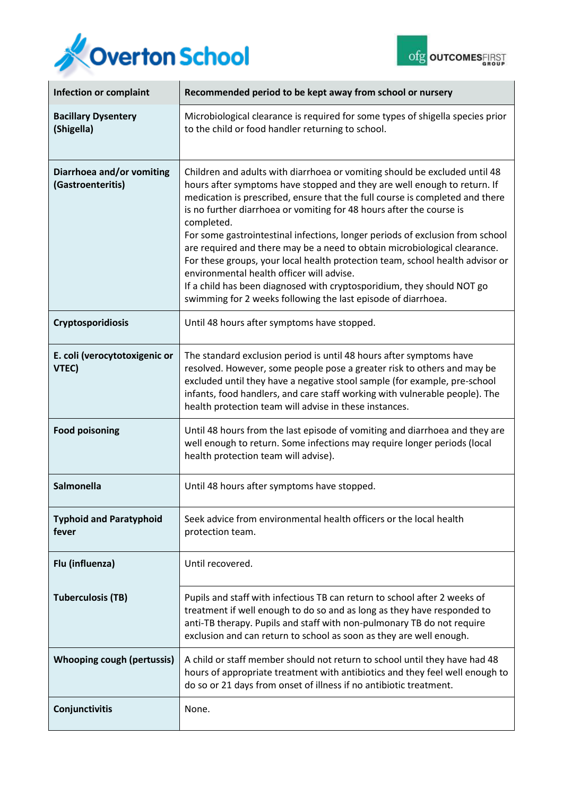



| <b>Infection or complaint</b>                  | Recommended period to be kept away from school or nursery                                                                                                                                                                                                                                                                                                                                                                                                                                                                                                                                                                                                                                                                                                           |  |  |
|------------------------------------------------|---------------------------------------------------------------------------------------------------------------------------------------------------------------------------------------------------------------------------------------------------------------------------------------------------------------------------------------------------------------------------------------------------------------------------------------------------------------------------------------------------------------------------------------------------------------------------------------------------------------------------------------------------------------------------------------------------------------------------------------------------------------------|--|--|
| <b>Bacillary Dysentery</b><br>(Shigella)       | Microbiological clearance is required for some types of shigella species prior<br>to the child or food handler returning to school.                                                                                                                                                                                                                                                                                                                                                                                                                                                                                                                                                                                                                                 |  |  |
| Diarrhoea and/or vomiting<br>(Gastroenteritis) | Children and adults with diarrhoea or vomiting should be excluded until 48<br>hours after symptoms have stopped and they are well enough to return. If<br>medication is prescribed, ensure that the full course is completed and there<br>is no further diarrhoea or vomiting for 48 hours after the course is<br>completed.<br>For some gastrointestinal infections, longer periods of exclusion from school<br>are required and there may be a need to obtain microbiological clearance.<br>For these groups, your local health protection team, school health advisor or<br>environmental health officer will advise.<br>If a child has been diagnosed with cryptosporidium, they should NOT go<br>swimming for 2 weeks following the last episode of diarrhoea. |  |  |
| <b>Cryptosporidiosis</b>                       | Until 48 hours after symptoms have stopped.                                                                                                                                                                                                                                                                                                                                                                                                                                                                                                                                                                                                                                                                                                                         |  |  |
| E. coli (verocytotoxigenic or<br>VTEC)         | The standard exclusion period is until 48 hours after symptoms have<br>resolved. However, some people pose a greater risk to others and may be<br>excluded until they have a negative stool sample (for example, pre-school<br>infants, food handlers, and care staff working with vulnerable people). The<br>health protection team will advise in these instances.                                                                                                                                                                                                                                                                                                                                                                                                |  |  |
| <b>Food poisoning</b>                          | Until 48 hours from the last episode of vomiting and diarrhoea and they are<br>well enough to return. Some infections may require longer periods (local<br>health protection team will advise).                                                                                                                                                                                                                                                                                                                                                                                                                                                                                                                                                                     |  |  |
| <b>Salmonella</b>                              | Until 48 hours after symptoms have stopped.                                                                                                                                                                                                                                                                                                                                                                                                                                                                                                                                                                                                                                                                                                                         |  |  |
| <b>Typhoid and Paratyphoid</b><br>fever        | Seek advice from environmental health officers or the local health<br>protection team.                                                                                                                                                                                                                                                                                                                                                                                                                                                                                                                                                                                                                                                                              |  |  |
| Flu (influenza)                                | Until recovered.                                                                                                                                                                                                                                                                                                                                                                                                                                                                                                                                                                                                                                                                                                                                                    |  |  |
| <b>Tuberculosis (TB)</b>                       | Pupils and staff with infectious TB can return to school after 2 weeks of<br>treatment if well enough to do so and as long as they have responded to<br>anti-TB therapy. Pupils and staff with non-pulmonary TB do not require<br>exclusion and can return to school as soon as they are well enough.                                                                                                                                                                                                                                                                                                                                                                                                                                                               |  |  |
| <b>Whooping cough (pertussis)</b>              | A child or staff member should not return to school until they have had 48<br>hours of appropriate treatment with antibiotics and they feel well enough to<br>do so or 21 days from onset of illness if no antibiotic treatment.                                                                                                                                                                                                                                                                                                                                                                                                                                                                                                                                    |  |  |
| Conjunctivitis                                 | None.                                                                                                                                                                                                                                                                                                                                                                                                                                                                                                                                                                                                                                                                                                                                                               |  |  |